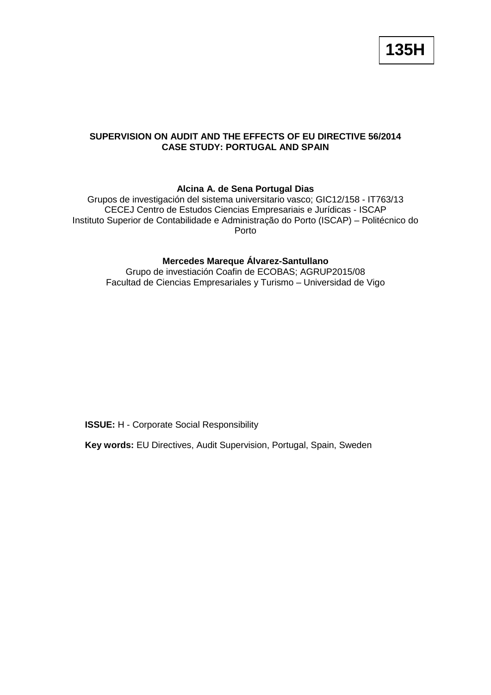**135H**

## **SUPERVISION ON AUDIT AND THE EFFECTS OF EU DIRECTIVE 56/2014 CASE STUDY: PORTUGAL AND SPAIN**

## **Alcina A. de Sena Portugal Dias**

Grupos de investigación del sistema universitario vasco; GIC12/158 - IT763/13 CECEJ Centro de Estudos Ciencias Empresariais e Jurídicas - ISCAP Instituto Superior de Contabilidade e Administração do Porto (ISCAP) – Politécnico do Porto

# **Mercedes Mareque Álvarez-Santullano**

Grupo de investiación Coafin de ECOBAS; AGRUP2015/08 Facultad de Ciencias Empresariales y Turismo – Universidad de Vigo

**ISSUE:** H - Corporate Social Responsibility

**Key words:** EU Directives, Audit Supervision, Portugal, Spain, Sweden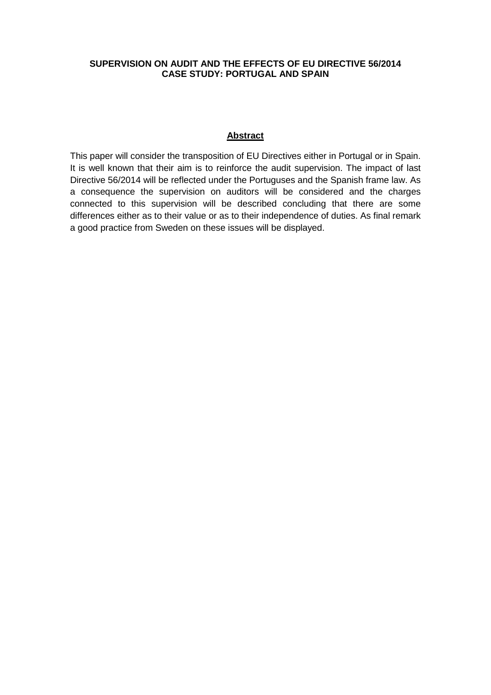### **SUPERVISION ON AUDIT AND THE EFFECTS OF EU DIRECTIVE 56/2014 CASE STUDY: PORTUGAL AND SPAIN**

### **Abstract**

This paper will consider the transposition of EU Directives either in Portugal or in Spain. It is well known that their aim is to reinforce the audit supervision. The impact of last Directive 56/2014 will be reflected under the Portuguses and the Spanish frame law. As a consequence the supervision on auditors will be considered and the charges connected to this supervision will be described concluding that there are some differences either as to their value or as to their independence of duties. As final remark a good practice from Sweden on these issues will be displayed.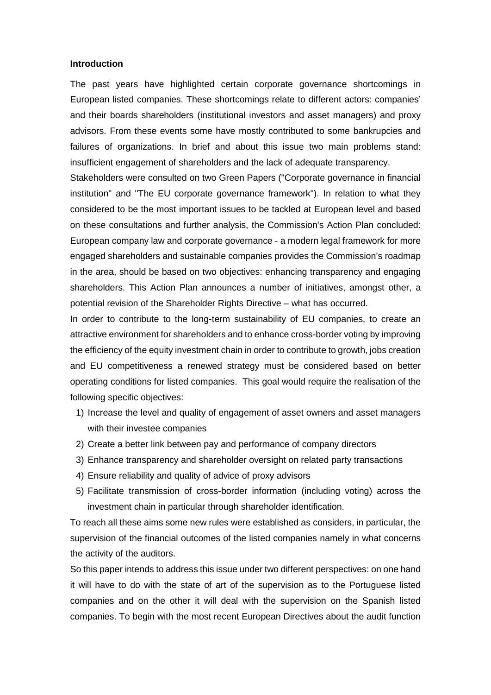#### **Introduction**

The past years have highlighted certain corporate governance shortcomings in European listed companies. These shortcomings relate to different actors: companies' and their boards shareholders (institutional investors and asset managers) and proxy advisors. From these events some have mostly contributed to some bankrupcies and failures of organizations. In brief and about this issue two main problems stand: insufficient engagement of shareholders and the lack of adequate transparency.

Stakeholders were consulted on two Green Papers ("Corporate governance in financial institution" and "The EU corporate governance framework"). In relation to what they considered to be the most important issues to be tackled at European level and based on these consultations and further analysis, the Commission's Action Plan concluded: European company law and corporate governance - a modern legal framework for more engaged shareholders and sustainable companies provides the Commission's roadmap in the area, should be based on two objectives: enhancing transparency and engaging shareholders. This Action Plan announces a number of initiatives, amongst other, a potential revision of the Shareholder Rights Directive – what has occurred.

In order to contribute to the long-term sustainability of EU companies, to create an attractive environment for shareholders and to enhance cross-border voting by improving the efficiency of the equity investment chain in order to contribute to growth, jobs creation and EU competitiveness a renewed strategy must be considered based on better operating conditions for listed companies. This goal would require the realisation of the following specific objectives:

- 1) Increase the level and quality of engagement of asset owners and asset managers with their investee companies
- 2) Create a better link between pay and performance of company directors
- 3) Enhance transparency and shareholder oversight on related party transactions
- 4) Ensure reliability and quality of advice of proxy advisors
- 5) Facilitate transmission of cross-border information (including voting) across the investment chain in particular through shareholder identification.

To reach all these aims some new rules were established as considers, in particular, the supervision of the financial outcomes of the listed companies namely in what concerns the activity of the auditors.

So this paper intends to address this issue under two different perspectives: on one hand it will have to do with the state of art of the supervision as to the Portuguese listed companies and on the other it will deal with the supervision on the Spanish listed companies. To begin with the most recent European Directives about the audit function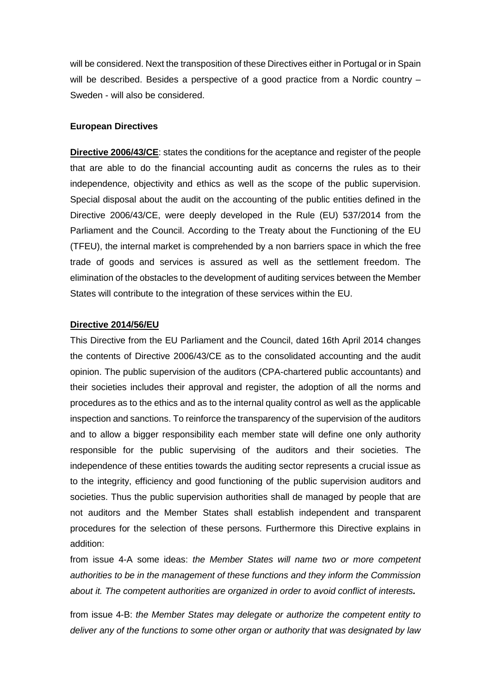will be considered. Next the transposition of these Directives either in Portugal or in Spain will be described. Besides a perspective of a good practice from a Nordic country – Sweden - will also be considered.

### **European Directives**

**Directive 2006/43/CE**: states the conditions for the aceptance and register of the people that are able to do the financial accounting audit as concerns the rules as to their independence, objectivity and ethics as well as the scope of the public supervision. Special disposal about the audit on the accounting of the public entities defined in the Directive 2006/43/CE, were deeply developed in the Rule (EU) 537/2014 from the Parliament and the Council. According to the Treaty about the Functioning of the EU (TFEU), the internal market is comprehended by a non barriers space in which the free trade of goods and services is assured as well as the settlement freedom. The elimination of the obstacles to the development of auditing services between the Member States will contribute to the integration of these services within the EU.

### **Directive 2014/56/EU**

This Directive from the EU Parliament and the Council, dated 16th April 2014 changes the contents of Directive 2006/43/CE as to the consolidated accounting and the audit opinion. The public supervision of the auditors (CPA-chartered public accountants) and their societies includes their approval and register, the adoption of all the norms and procedures as to the ethics and as to the internal quality control as well as the applicable inspection and sanctions. To reinforce the transparency of the supervision of the auditors and to allow a bigger responsibility each member state will define one only authority responsible for the public supervising of the auditors and their societies. The independence of these entities towards the auditing sector represents a crucial issue as to the integrity, efficiency and good functioning of the public supervision auditors and societies. Thus the public supervision authorities shall de managed by people that are not auditors and the Member States shall establish independent and transparent procedures for the selection of these persons. Furthermore this Directive explains in addition:

from issue 4-A some ideas: *the Member States will name two or more competent authorities to be in the management of these functions and they inform the Commission about it. The competent authorities are organized in order to avoid conflict of interests.*

from issue 4-B: *the Member States may delegate or authorize the competent entity to deliver any of the functions to some other organ or authority that was designated by law*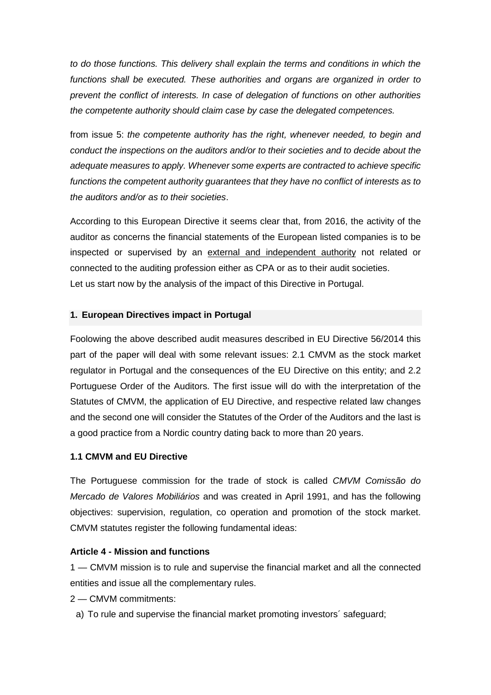*to do those functions. This delivery shall explain the terms and conditions in which the functions shall be executed. These authorities and organs are organized in order to prevent the conflict of interests. In case of delegation of functions on other authorities the competente authority should claim case by case the delegated competences.*

from issue 5: *the competente authority has the right, whenever needed, to begin and conduct the inspections on the auditors and/or to their societies and to decide about the adequate measures to apply. Whenever some experts are contracted to achieve specific functions the competent authority guarantees that they have no conflict of interests as to the auditors and/or as to their societies*.

According to this European Directive it seems clear that, from 2016, the activity of the auditor as concerns the financial statements of the European listed companies is to be inspected or supervised by an external and independent authority not related or connected to the auditing profession either as CPA or as to their audit societies. Let us start now by the analysis of the impact of this Directive in Portugal.

## **1. European Directives impact in Portugal**

Foolowing the above described audit measures described in EU Directive 56/2014 this part of the paper will deal with some relevant issues: 2.1 CMVM as the stock market regulator in Portugal and the consequences of the EU Directive on this entity; and 2.2 Portuguese Order of the Auditors. The first issue will do with the interpretation of the Statutes of CMVM, the application of EU Directive, and respective related law changes and the second one will consider the Statutes of the Order of the Auditors and the last is a good practice from a Nordic country dating back to more than 20 years.

## **1.1 CMVM and EU Directive**

The Portuguese commission for the trade of stock is called *CMVM Comissão do Mercado de Valores Mobiliários* and was created in April 1991, and has the following objectives: supervision, regulation, co operation and promotion of the stock market. CMVM statutes register the following fundamental ideas:

# **Article 4 - Mission and functions**

1 — CMVM mission is to rule and supervise the financial market and all the connected entities and issue all the complementary rules.

2 — CMVM commitments:

a) To rule and supervise the financial market promoting investors´ safeguard;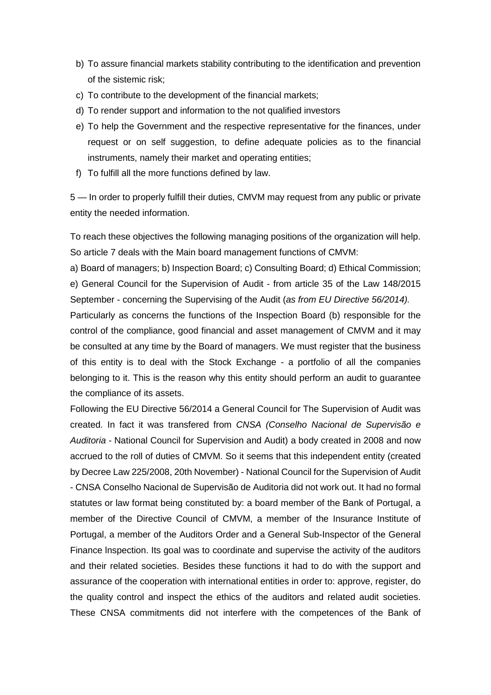- b) To assure financial markets stability contributing to the identification and prevention of the sistemic risk;
- c) To contribute to the development of the financial markets;
- d) To render support and information to the not qualified investors
- e) To help the Government and the respective representative for the finances, under request or on self suggestion, to define adequate policies as to the financial instruments, namely their market and operating entities;
- f) To fulfill all the more functions defined by law.

5 — In order to properly fulfill their duties, CMVM may request from any public or private entity the needed information.

To reach these objectives the following managing positions of the organization will help. So article 7 deals with the Main board management functions of CMVM:

a) Board of managers; b) Inspection Board; c) Consulting Board; d) Ethical Commission; e) General Council for the Supervision of Audit - from article 35 of the Law 148/2015 September - concerning the Supervising of the Audit (*as from EU Directive 56/2014).*

Particularly as concerns the functions of the Inspection Board (b) responsible for the control of the compliance, good financial and asset management of CMVM and it may be consulted at any time by the Board of managers. We must register that the business of this entity is to deal with the Stock Exchange - a portfolio of all the companies belonging to it. This is the reason why this entity should perform an audit to guarantee the compliance of its assets.

Following the EU Directive 56/2014 a General Council for The Supervision of Audit was created. In fact it was transfered from *CNSA (Conselho Nacional de Supervisão e Auditoria -* National Council for Supervision and Audit) a body created in 2008 and now accrued to the roll of duties of CMVM. So it seems that this independent entity (created by Decree Law 225/2008, 20th November) - National Council for the Supervision of Audit - CNSA Conselho Nacional de Supervisão de Auditoria did not work out. It had no formal statutes or law format being constituted by: a board member of the Bank of Portugal, a member of the Directive Council of CMVM, a member of the Insurance Institute of Portugal, a member of the Auditors Order and a General Sub-Inspector of the General Finance lnspection. Its goal was to coordinate and supervise the activity of the auditors and their related societies. Besides these functions it had to do with the support and assurance of the cooperation with international entities in order to: approve, register, do the quality control and inspect the ethics of the auditors and related audit societies. These CNSA commitments did not interfere with the competences of the Bank of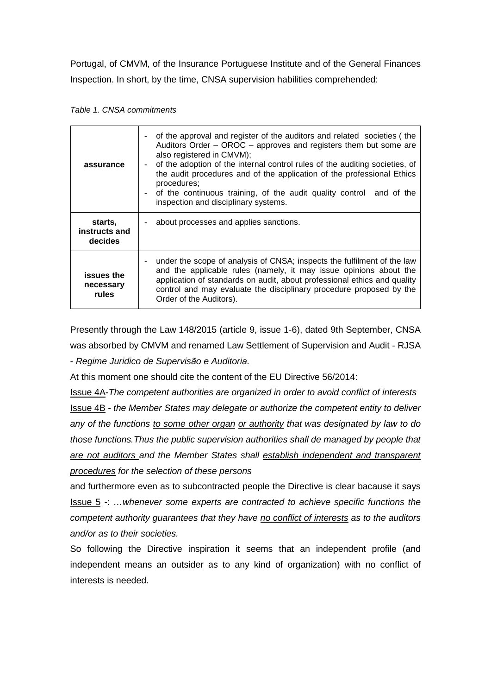Portugal, of CMVM, of the Insurance Portuguese Institute and of the General Finances Inspection. In short, by the time, CNSA supervision habilities comprehended:

|  |  | Table 1. CNSA commitments |
|--|--|---------------------------|
|--|--|---------------------------|

| assurance                           | of the approval and register of the auditors and related societies (the<br>Auditors Order – OROC – approves and registers them but some are<br>also registered in CMVM);<br>of the adoption of the internal control rules of the auditing societies, of<br>the audit procedures and of the application of the professional Ethics<br>procedures;<br>of the continuous training, of the audit quality control and of the<br>inspection and disciplinary systems. |  |
|-------------------------------------|-----------------------------------------------------------------------------------------------------------------------------------------------------------------------------------------------------------------------------------------------------------------------------------------------------------------------------------------------------------------------------------------------------------------------------------------------------------------|--|
| starts,<br>instructs and<br>decides | about processes and applies sanctions.                                                                                                                                                                                                                                                                                                                                                                                                                          |  |
| issues the<br>necessary<br>rules    | under the scope of analysis of CNSA; inspects the fulfilment of the law<br>and the applicable rules (namely, it may issue opinions about the<br>application of standards on audit, about professional ethics and quality<br>control and may evaluate the disciplinary procedure proposed by the<br>Order of the Auditors).                                                                                                                                      |  |

Presently through the Law 148/2015 (article 9, issue 1-6), dated 9th September, CNSA was absorbed by CMVM and renamed Law Settlement of Supervision and Audit - RJSA

- *Regime Juridico de Supervisão e Auditoria.*

At this moment one should cite the content of the EU Directive 56/2014:

Issue 4A-*The competent authorities are organized in order to avoid conflict of interests* Issue 4B *- the Member States may delegate or authorize the competent entity to deliver any of the functions to some other organ or authority that was designated by law to do those functions.Thus the public supervision authorities shall de managed by people that are not auditors and the Member States shall establish independent and transparent procedures for the selection of these persons* 

and furthermore even as to subcontracted people the Directive is clear bacause it says Issue 5 -: *…whenever some experts are contracted to achieve specific functions the competent authority guarantees that they have no conflict of interests as to the auditors and/or as to their societies.* 

So following the Directive inspiration it seems that an independent profile (and independent means an outsider as to any kind of organization) with no conflict of interests is needed.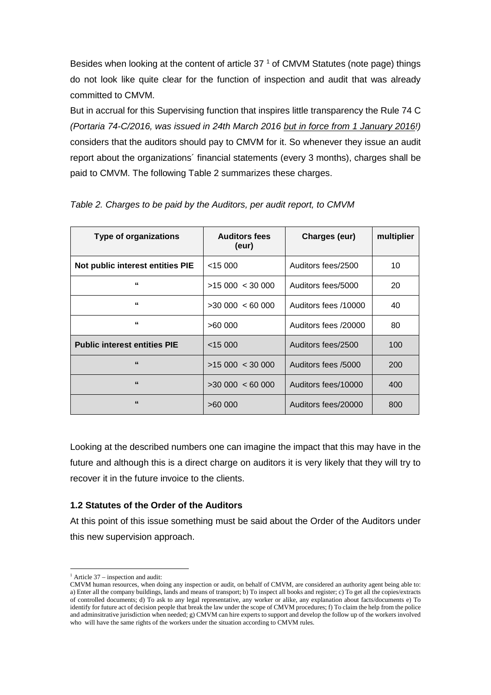Besides when looking at the content of article  $37<sup>1</sup>$  $37<sup>1</sup>$  $37<sup>1</sup>$  of CMVM Statutes (note page) things do not look like quite clear for the function of inspection and audit that was already committed to CMVM.

But in accrual for this Supervising function that inspires little transparency the Rule 74 C *(Portaria 74-C/2016, was issued in 24th March 2016 but in force from 1 January 2016!)* considers that the auditors should pay to CMVM for it. So whenever they issue an audit report about the organizations´ financial statements (every 3 months), charges shall be paid to CMVM. The following Table 2 summarizes these charges.

| <b>Type of organizations</b>        | <b>Auditors fees</b><br>(eur)        |                      | multiplier |
|-------------------------------------|--------------------------------------|----------------------|------------|
| Not public interest entities PIE    | $<$ 15 000                           | Auditors fees/2500   | 10         |
| $\epsilon$                          | >15000 < 30000<br>Auditors fees/5000 |                      | 20         |
| $\epsilon$                          | >30000 < 6000                        | Auditors fees /10000 | 40         |
| "                                   | Auditors fees /20000<br>>60 000      |                      | 80         |
| <b>Public interest entities PIE</b> | <15000                               | Auditors fees/2500   | 100        |
| 66                                  | >15000 < 30000                       | Auditors fees /5000  | 200        |
| 66                                  | $>30000$ < 60 000                    | Auditors fees/10000  | 400        |
| 66                                  | >60000                               | Auditors fees/20000  | 800        |

# *Table 2. Charges to be paid by the Auditors, per audit report, to CMVM*

Looking at the described numbers one can imagine the impact that this may have in the future and although this is a direct charge on auditors it is very likely that they will try to recover it in the future invoice to the clients.

# **1.2 Statutes of the Order of the Auditors**

At this point of this issue something must be said about the Order of the Auditors under this new supervision approach.

 $\overline{a}$  $<sup>1</sup>$  Article 37 – inspection and audit:</sup>

<span id="page-7-0"></span>CMVM human resources, when doing any inspection or audit, on behalf of CMVM, are considered an authority agent being able to: a) Enter all the company buildings, lands and means of transport; b) To inspect all books and register; c) To get all the copies/extracts of controlled documents; d) To ask to any legal representative, any worker or alike, any explanation about facts/documents e) To identify for future act of decision people that break the law under the scope of CMVM procedures; f) To claim the help from the police and adminsitrative jurisdiction when needed; g) CMVM can hire experts to support and develop the follow up of the workers involved who will have the same rights of the workers under the situation according to CMVM rules.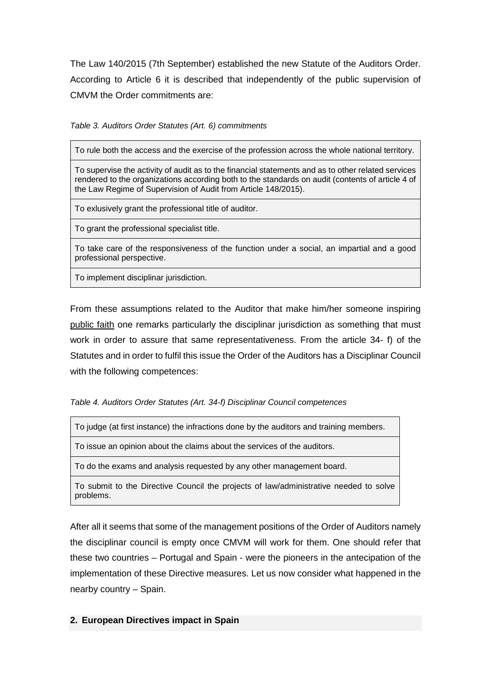The Law 140/2015 (7th September) established the new Statute of the Auditors Order. According to Article 6 it is described that independently of the public supervision of CMVM the Order commitments are:

*Table 3. Auditors Order Statutes (Art. 6) commitments*

To rule both the access and the exercise of the profession across the whole national territory.

To supervise the activity of audit as to the financial statements and as to other related services rendered to the organizations according both to the standards on audit (contents of article 4 of the Law Regime of Supervision of Audit from Article 148/2015).

To exlusively grant the professional title of auditor.

To grant the professional specialist title.

To take care of the responsiveness of the function under a social, an impartial and a good professional perspective.

To implement disciplinar jurisdiction.

From these assumptions related to the Auditor that make him/her someone inspiring public faith one remarks particularly the disciplinar jurisdiction as something that must work in order to assure that same representativeness. From the article 34- f) of the Statutes and in order to fulfil this issue the Order of the Auditors has a Disciplinar Council with the following competences:

*Table 4. Auditors Order Statutes (Art. 34-f) Disciplinar Council competences*

To issue an opinion about the claims about the services of the auditors.

To do the exams and analysis requested by any other management board.

To submit to the Directive Council the projects of law/administrative needed to solve problems.

After all it seems that some of the management positions of the Order of Auditors namely the disciplinar council is empty once CMVM will work for them. One should refer that these two countries – Portugal and Spain - were the pioneers in the antecipation of the implementation of these Directive measures. Let us now consider what happened in the nearby country – Spain.

# **2. European Directives impact in Spain**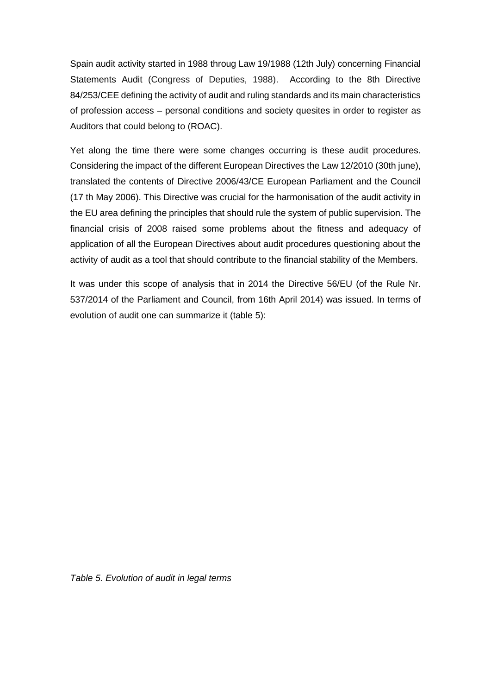Spain audit activity started in 1988 throug Law 19/1988 (12th July) concerning Financial Statements Audit (Congress of Deputies, 1988). According to the 8th Directive 84/253/CEE defining the activity of audit and ruling standards and its main characteristics of profession access – personal conditions and society quesites in order to register as Auditors that could belong to (ROAC).

Yet along the time there were some changes occurring is these audit procedures. Considering the impact of the different European Directives the Law 12/2010 (30th june), translated the contents of Directive 2006/43/CE European Parliament and the Council (17 th May 2006). This Directive was crucial for the harmonisation of the audit activity in the EU area defining the principles that should rule the system of public supervision. The financial crisis of 2008 raised some problems about the fitness and adequacy of application of all the European Directives about audit procedures questioning about the activity of audit as a tool that should contribute to the financial stability of the Members.

It was under this scope of analysis that in 2014 the Directive 56/EU (of the Rule Nr. 537/2014 of the Parliament and Council, from 16th April 2014) was issued. In terms of evolution of audit one can summarize it (table 5):

*Table 5. Evolution of audit in legal terms*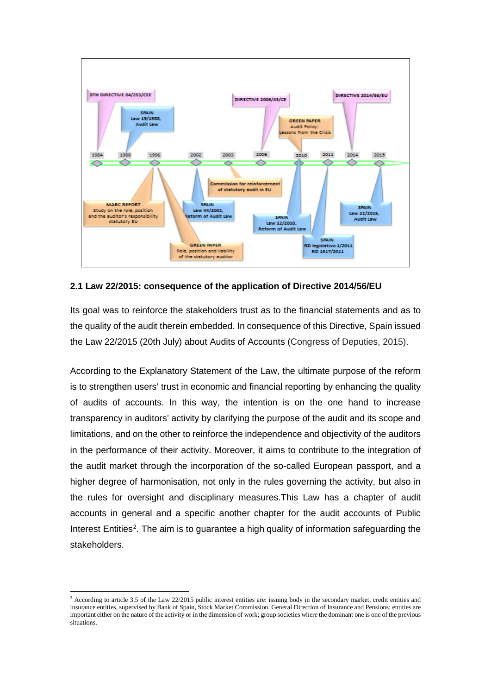

## **2.1 Law 22/2015: consequence of the application of Directive 2014/56/EU**

Its goal was to reinforce the stakeholders trust as to the financial statements and as to the quality of the audit therein embedded. In consequence of this Directive, Spain issued the Law 22/2015 (20th July) about Audits of Accounts (Congress of Deputies, 2015).

According to the Explanatory Statement of the Law, the ultimate purpose of the reform is to strengthen users' trust in economic and financial reporting by enhancing the quality of audits of accounts. In this way, the intention is on the one hand to increase transparency in auditors' activity by clarifying the purpose of the audit and its scope and limitations, and on the other to reinforce the independence and objectivity of the auditors in the performance of their activity. Moreover, it aims to contribute to the integration of the audit market through the incorporation of the so-called European passport, and a higher degree of harmonisation, not only in the rules governing the activity, but also in the rules for oversight and disciplinary measures.This Law has a chapter of audit accounts in general and a specific another chapter for the audit accounts of Public Interest Entities<sup>[2](#page-10-0)</sup>. The aim is to guarantee a high quality of information safeguarding the stakeholders.

**.** 

<span id="page-10-0"></span><sup>&</sup>lt;sup>2</sup> According to article 3.5 of the Law 22/2015 public interest entities are: issuing body in the secondary market, credit entities and insurance entities, supervised by Bank of Spain, Stock Market Commission, General Direction of Insurance and Pensions; entities are important either on the nature of the activity or in the dimension of work; group societies where the dominant one is one of the previous situations.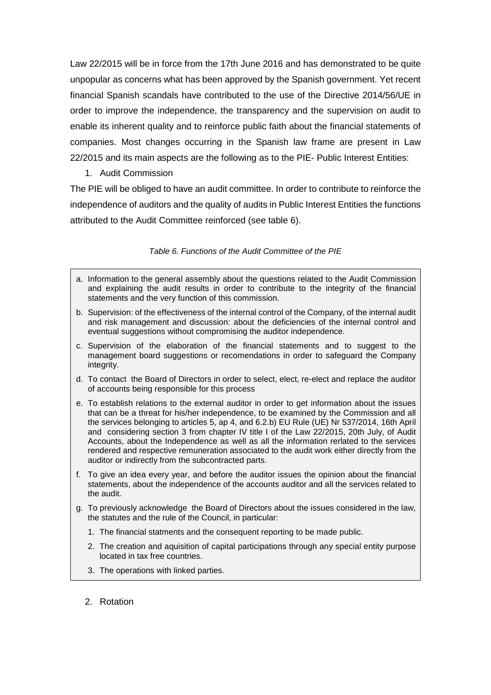Law 22/2015 will be in force from the 17th June 2016 and has demonstrated to be quite unpopular as concerns what has been approved by the Spanish government. Yet recent financial Spanish scandals have contributed to the use of the Directive 2014/56/UE in order to improve the independence, the transparency and the supervision on audit to enable its inherent quality and to reinforce public faith about the financial statements of companies. Most changes occurring in the Spanish law frame are present in Law 22/2015 and its main aspects are the following as to the PIE- Public Interest Entities:

1. Audit Commission

The PIE will be obliged to have an audit committee. In order to contribute to reinforce the independence of auditors and the quality of audits in Public Interest Entities the functions attributed to the Audit Committee reinforced (see table 6).

### *Table 6. Functions of the Audit Committee of the PIE*

- a. Information to the general assembly about the questions related to the Audit Commission and explaining the audit results in order to contribute to the integrity of the financial statements and the very function of this commission.
- b. Supervision: of the effectiveness of the internal control of the Company, of the internal audit and risk management and discussion: about the deficiencies of the internal control and eventual suggestions without compromising the auditor independence.
- c. Supervision of the elaboration of the financial statements and to suggest to the management board suggestions or recomendations in order to safeguard the Company integrity.
- d. To contact the Board of Directors in order to select, elect, re-elect and replace the auditor of accounts being responsible for this process
- e. To establish relations to the external auditor in order to get information about the issues that can be a threat for his/her independence, to be examined by the Commission and all the services belonging to articles 5, ap 4, and 6.2.b) EU Rule (UE) Nr 537/2014, 16th April and considering section 3 from chapter IV title I of the Law 22/2015, 20th July, of Audit Accounts, about the Independence as well as all the information rerlated to the services rendered and respective remuneration associated to the audit work either directly from the auditor or indirectly from the subcontracted parts.
- f. To give an idea every year, and before the auditor issues the opinion about the financial statements, about the independence of the accounts auditor and all the services related to the audit.
- g. To previously acknowledge the Board of Directors about the issues considered in the law, the statutes and the rule of the Council, in particular:
	- 1. The financial statments and the consequent reporting to be made public.
	- 2. The creation and aquisition of capital participations through any special entity purpose located in tax free countries.
	- 3. The operations with linked parties.
	- 2. Rotation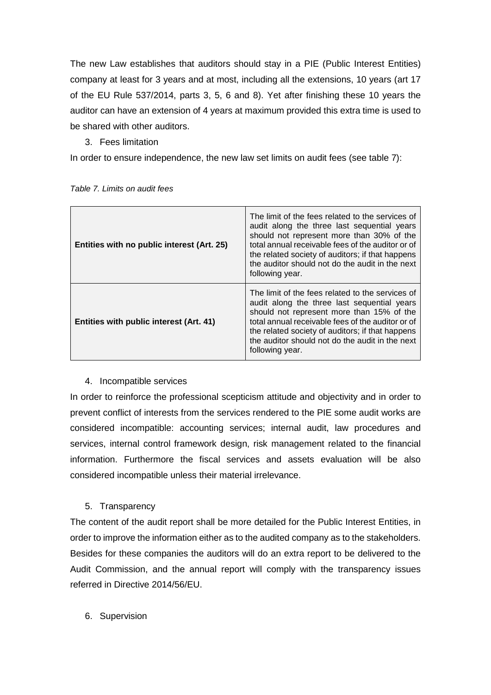The new Law establishes that auditors should stay in a PIE (Public Interest Entities) company at least for 3 years and at most, including all the extensions, 10 years (art 17 of the EU Rule 537/2014, parts 3, 5, 6 and 8). Yet after finishing these 10 years the auditor can have an extension of 4 years at maximum provided this extra time is used to be shared with other auditors.

3. Fees limitation

In order to ensure independence, the new law set limits on audit fees (see table 7):

| Entities with no public interest (Art. 25) | The limit of the fees related to the services of<br>audit along the three last sequential years<br>should not represent more than 30% of the<br>total annual receivable fees of the auditor or of<br>the related society of auditors; if that happens<br>the auditor should not do the audit in the next<br>following year. |
|--------------------------------------------|-----------------------------------------------------------------------------------------------------------------------------------------------------------------------------------------------------------------------------------------------------------------------------------------------------------------------------|
| Entities with public interest (Art. 41)    | The limit of the fees related to the services of<br>audit along the three last sequential years<br>should not represent more than 15% of the<br>total annual receivable fees of the auditor or of<br>the related society of auditors; if that happens<br>the auditor should not do the audit in the next<br>following year. |

*Table 7. Limits on audit fees*

# 4. Incompatible services

In order to reinforce the professional scepticism attitude and objectivity and in order to prevent conflict of interests from the services rendered to the PIE some audit works are considered incompatible: accounting services; internal audit, law procedures and services, internal control framework design, risk management related to the financial information. Furthermore the fiscal services and assets evaluation will be also considered incompatible unless their material irrelevance.

# 5. Transparency

The content of the audit report shall be more detailed for the Public Interest Entities, in order to improve the information either as to the audited company as to the stakeholders. Besides for these companies the auditors will do an extra report to be delivered to the Audit Commission, and the annual report will comply with the transparency issues referred in Directive 2014/56/EU.

6. Supervision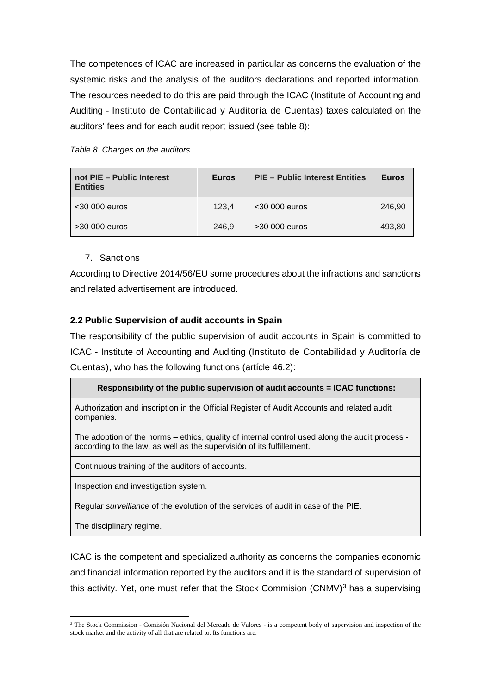The competences of ICAC are increased in particular as concerns the evaluation of the systemic risks and the analysis of the auditors declarations and reported information. The resources needed to do this are paid through the ICAC (Institute of Accounting and Auditing - Instituto de Contabilidad y Auditoría de Cuentas) taxes calculated on the auditors' fees and for each audit report issued (see table 8):

|  | Table 8. Charges on the auditors |  |  |
|--|----------------------------------|--|--|
|--|----------------------------------|--|--|

| not PIE - Public Interest<br><b>Entities</b> | <b>Euros</b> | <b>PIE - Public Interest Entities</b> | <b>Euros</b> |
|----------------------------------------------|--------------|---------------------------------------|--------------|
| $<$ 30 000 euros                             | 123.4        | $<$ 30 000 euros                      | 246.90       |
| >30 000 euros                                | 246.9        | $>30000$ euros                        | 493,80       |

7. Sanctions

According to Directive 2014/56/EU some procedures about the infractions and sanctions and related advertisement are introduced.

# **2.2 Public Supervision of audit accounts in Spain**

The responsibility of the public supervision of audit accounts in Spain is committed to ICAC - Institute of Accounting and Auditing (Instituto de Contabilidad y Auditoría de Cuentas), who has the following functions (artícle 46.2):

# **Responsibility of the public supervision of audit accounts = ICAC functions:**

Authorization and inscription in the Official Register of Audit Accounts and related audit companies.

The adoption of the norms – ethics, quality of internal control used along the audit process according to the law, as well as the supervisión of its fulfillement.

Continuous training of the auditors of accounts.

Inspection and investigation system.

Regular *surveillance* of the evolution of the services of audit in case of the PIE.

The disciplinary regime.

 $\overline{a}$ 

ICAC is the competent and specialized authority as concerns the companies economic and financial information reported by the auditors and it is the standard of supervision of this activity. Yet, one must refer that the Stock Commision  $(CNMV)^3$  $(CNMV)^3$  has a supervising

<span id="page-13-0"></span><sup>&</sup>lt;sup>3</sup> The Stock Commission - Comisión Nacional del Mercado de Valores - is a competent body of supervision and inspection of the stock market and the activity of all that are related to. Its functions are: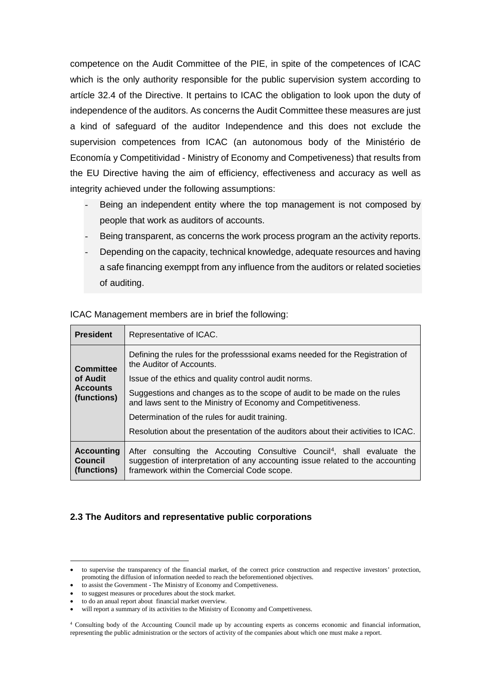competence on the Audit Committee of the PIE, in spite of the competences of ICAC which is the only authority responsible for the public supervision system according to artícle 32.4 of the Directive. It pertains to ICAC the obligation to look upon the duty of independence of the auditors. As concerns the Audit Committee these measures are just a kind of safeguard of the auditor Independence and this does not exclude the supervision competences from ICAC (an autonomous body of the Ministério de Economía y Competitividad - Ministry of Economy and Competiveness) that results from the EU Directive having the aim of efficiency, effectiveness and accuracy as well as integrity achieved under the following assumptions:

- Being an independent entity where the top management is not composed by people that work as auditors of accounts.
- Being transparent, as concerns the work process program an the activity reports.
- Depending on the capacity, technical knowledge, adequate resources and having a safe financing exemppt from any influence from the auditors or related societies of auditing.

| ICAC Management members are in brief the following: |  |
|-----------------------------------------------------|--|
|                                                     |  |

| <b>President</b>                                   | Representative of ICAC.                                                                                                                                                                                             |
|----------------------------------------------------|---------------------------------------------------------------------------------------------------------------------------------------------------------------------------------------------------------------------|
| <b>Committee</b>                                   | Defining the rules for the professsional exams needed for the Registration of<br>the Auditor of Accounts.                                                                                                           |
| of Audit                                           | Issue of the ethics and quality control audit norms.                                                                                                                                                                |
| <b>Accounts</b><br>(functions)                     | Suggestions and changes as to the scope of audit to be made on the rules<br>and laws sent to the Ministry of Economy and Competitiveness.                                                                           |
|                                                    | Determination of the rules for audit training.                                                                                                                                                                      |
|                                                    | Resolution about the presentation of the auditors about their activities to ICAC.                                                                                                                                   |
| <b>Accounting</b><br><b>Council</b><br>(functions) | After consulting the Accouting Consultive Council <sup>4</sup> , shall evaluate the<br>suggestion of interpretation of any accounting issue related to the accounting<br>framework within the Comercial Code scope. |

## **2.3 The Auditors and representative public corporations**

**.** 

<sup>•</sup> to supervise the transparency of the financial market, of the correct price construction and respective investors' protection, promoting the diffusion of information needed to reach the beforementioned objectives.

to assist the Government - The Ministry of Economy and Compettiveness.

<sup>•</sup> to suggest measures or procedures about the stock market.

<sup>•</sup> to do an anual report about financial market overview.

will report a summary of its activities to the Ministry of Economy and Compettiveness.

<span id="page-14-0"></span><sup>4</sup> Consulting body of the Accounting Council made up by accounting experts as concerns economic and financial information, representing the public administration or the sectors of activity of the companies about which one must make a report.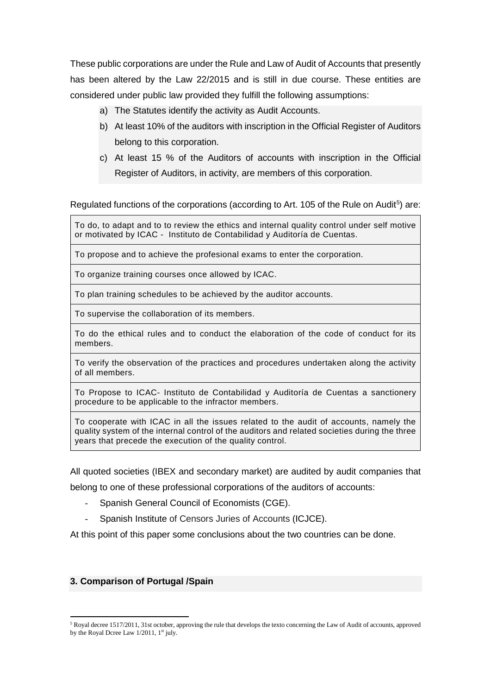These public corporations are under the Rule and Law of Audit of Accounts that presently has been altered by the Law 22/2015 and is still in due course. These entities are considered under public law provided they fulfill the following assumptions:

- a) The Statutes identify the activity as Audit Accounts.
- b) At least 10% of the auditors with inscription in the Official Register of Auditors belong to this corporation.
- c) At least 15 % of the Auditors of accounts with inscription in the Official Register of Auditors, in activity, are members of this corporation.

Regulated functions of the corporations (according to Art. 10[5](#page-15-0) of the Rule on Audit<sup>5</sup>) are:

To do, to adapt and to to review the ethics and internal quality control under self motive or motivated by ICAC - Instituto de Contabilidad y Auditoría de Cuentas.

To propose and to achieve the profesional exams to enter the corporation.

To organize training courses once allowed by ICAC.

To plan training schedules to be achieved by the auditor accounts.

To supervise the collaboration of its members.

To do the ethical rules and to conduct the elaboration of the code of conduct for its members.

To verify the observation of the practices and procedures undertaken along the activity of all members.

To Propose to ICAC- Instituto de Contabilidad y Auditoría de Cuentas a sanctionery procedure to be applicable to the infractor members.

To cooperate with ICAC in all the issues related to the audit of accounts, namely the quality system of the internal control of the auditors and related societies during the three years that precede the execution of the quality control.

All quoted societies (IBEX and secondary market) are audited by audit companies that

belong to one of these professional corporations of the auditors of accounts:

- Spanish General Council of Economists (CGE).
- Spanish Institute of Censors Juries of Accounts (ICJCE).

At this point of this paper some conclusions about the two countries can be done.

### **3. Comparison of Portugal /Spain**

 $\overline{a}$ 

<span id="page-15-0"></span><sup>&</sup>lt;sup>5</sup> Royal decree 1517/2011, 31st october, approving the rule that develops the texto concerning the Law of Audit of accounts, approved by the Royal Dcree Law  $1/2011$ ,  $1<sup>st</sup>$  july.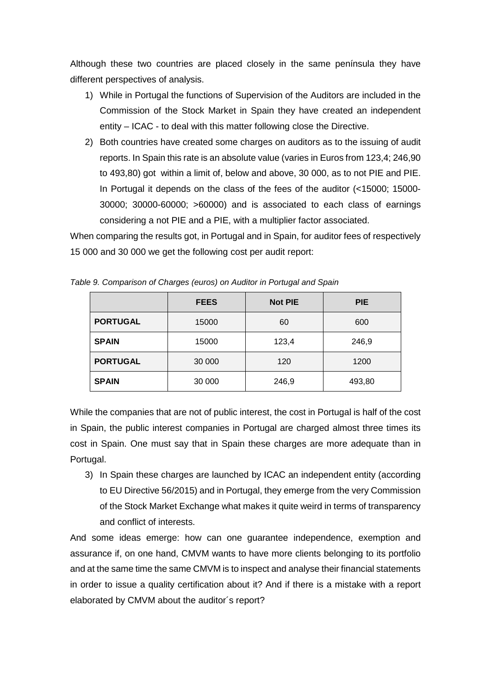Although these two countries are placed closely in the same península they have different perspectives of analysis.

- 1) While in Portugal the functions of Supervision of the Auditors are included in the Commission of the Stock Market in Spain they have created an independent entity – ICAC - to deal with this matter following close the Directive.
- 2) Both countries have created some charges on auditors as to the issuing of audit reports. In Spain this rate is an absolute value (varies in Euros from 123,4; 246,90 to 493,80) got within a limit of, below and above, 30 000, as to not PIE and PIE. In Portugal it depends on the class of the fees of the auditor (<15000; 15000- 30000; 30000-60000; >60000) and is associated to each class of earnings considering a not PIE and a PIE, with a multiplier factor associated.

When comparing the results got, in Portugal and in Spain, for auditor fees of respectively 15 000 and 30 000 we get the following cost per audit report:

|                 | <b>FEES</b> | <b>Not PIE</b> | <b>PIE</b> |
|-----------------|-------------|----------------|------------|
| <b>PORTUGAL</b> | 15000       | 60             | 600        |
| <b>SPAIN</b>    | 15000       | 123,4          | 246,9      |
| <b>PORTUGAL</b> | 30 000      | 120            | 1200       |
| <b>SPAIN</b>    | 30 000      | 246,9          | 493,80     |

*Table 9. Comparison of Charges (euros) on Auditor in Portugal and Spain*

While the companies that are not of public interest, the cost in Portugal is half of the cost in Spain, the public interest companies in Portugal are charged almost three times its cost in Spain. One must say that in Spain these charges are more adequate than in Portugal.

3) In Spain these charges are launched by ICAC an independent entity (according to EU Directive 56/2015) and in Portugal, they emerge from the very Commission of the Stock Market Exchange what makes it quite weird in terms of transparency and conflict of interests.

And some ideas emerge: how can one guarantee independence, exemption and assurance if, on one hand, CMVM wants to have more clients belonging to its portfolio and at the same time the same CMVM is to inspect and analyse their financial statements in order to issue a quality certification about it? And if there is a mistake with a report elaborated by CMVM about the auditor´s report?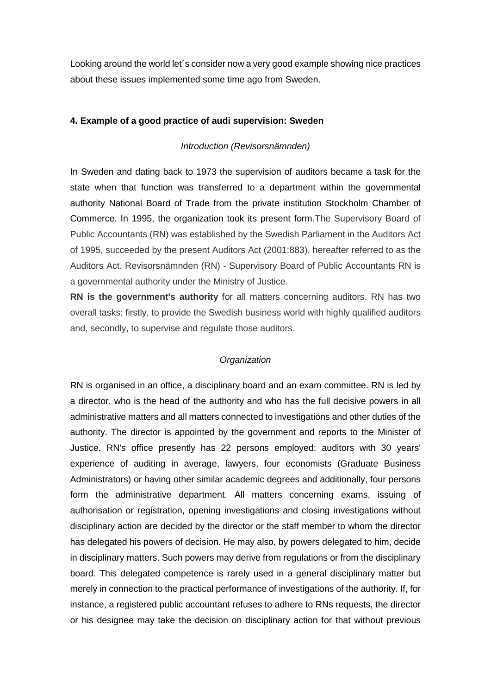Looking around the world let´s consider now a very good example showing nice practices about these issues implemented some time ago from Sweden.

## **4. Example of a good practice of audi supervision: Sweden**

## *Introduction (Revisorsnämnden)*

In Sweden and dating back to 1973 the supervision of auditors became a task for the state when that function was transferred to a department within the governmental authority National Board of Trade from the private institution Stockholm Chamber of Commerce. In 1995, the organization took its present form.The Supervisory Board of Public Accountants (RN) was established by the Swedish Parliament in the Auditors Act of 1995, succeeded by the present Auditors Act (2001:883), hereafter referred to as the Auditors Act. Revisorsnämnden (RN) - Supervisory Board of Public Accountants RN is a governmental authority under the Ministry of Justice.

**RN is the government's authority** for all matters concerning auditors. RN has two overall tasks; firstly, to provide the Swedish business world with highly qualified auditors and, secondly, to supervise and regulate those auditors.

# *Organization*

RN is organised in an office, a disciplinary board and an exam committee. RN is led by a director, who is the head of the authority and who has the full decisive powers in all administrative matters and all matters connected to investigations and other duties of the authority. The director is appointed by the government and reports to the Minister of Justice. RN's office presently has 22 persons employed: auditors with 30 years' experience of auditing in average, lawyers, four economists (Graduate Business Administrators) or having other similar academic degrees and additionally, four persons form the administrative department. All matters concerning exams, issuing of authorisation or registration, opening investigations and closing investigations without disciplinary action are decided by the director or the staff member to whom the director has delegated his powers of decision. He may also, by powers delegated to him, decide in disciplinary matters. Such powers may derive from regulations or from the disciplinary board. This delegated competence is rarely used in a general disciplinary matter but merely in connection to the practical performance of investigations of the authority. If, for instance, a registered public accountant refuses to adhere to RNs requests, the director or his designee may take the decision on disciplinary action for that without previous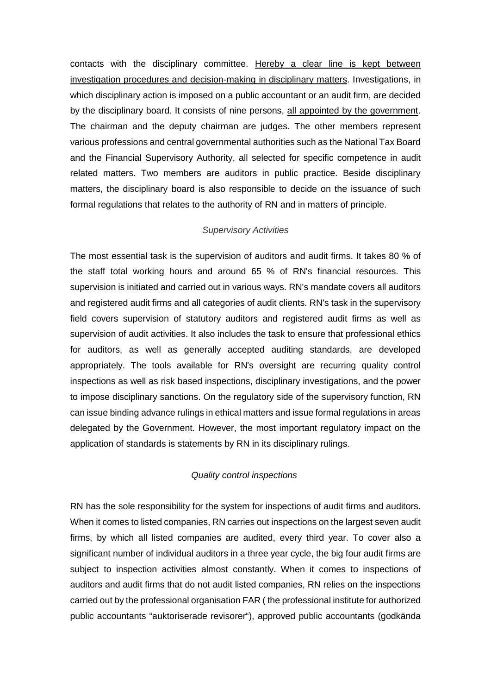contacts with the disciplinary committee. Hereby a clear line is kept between investigation procedures and decision-making in disciplinary matters. Investigations, in which disciplinary action is imposed on a public accountant or an audit firm, are decided by the disciplinary board. It consists of nine persons, all appointed by the government. The chairman and the deputy chairman are judges. The other members represent various professions and central governmental authorities such as the National Tax Board and the Financial Supervisory Authority, all selected for specific competence in audit related matters. Two members are auditors in public practice. Beside disciplinary matters, the disciplinary board is also responsible to decide on the issuance of such formal regulations that relates to the authority of RN and in matters of principle.

## *Supervisory Activities*

The most essential task is the supervision of auditors and audit firms. It takes 80 % of the staff total working hours and around 65 % of RN's financial resources. This supervision is initiated and carried out in various ways. RN's mandate covers all auditors and registered audit firms and all categories of audit clients. RN's task in the supervisory field covers supervision of statutory auditors and registered audit firms as well as supervision of audit activities. It also includes the task to ensure that professional ethics for auditors, as well as generally accepted auditing standards, are developed appropriately. The tools available for RN's oversight are recurring quality control inspections as well as risk based inspections, disciplinary investigations, and the power to impose disciplinary sanctions. On the regulatory side of the supervisory function, RN can issue binding advance rulings in ethical matters and issue formal regulations in areas delegated by the Government. However, the most important regulatory impact on the application of standards is statements by RN in its disciplinary rulings.

### *Quality control inspections*

RN has the sole responsibility for the system for inspections of audit firms and auditors. When it comes to listed companies, RN carries out inspections on the largest seven audit firms, by which all listed companies are audited, every third year. To cover also a significant number of individual auditors in a three year cycle, the big four audit firms are subject to inspection activities almost constantly. When it comes to inspections of auditors and audit firms that do not audit listed companies, RN relies on the inspections carried out by the professional organisation FAR ( the professional institute for authorized public accountants "auktoriserade revisorer"), approved public accountants (godkända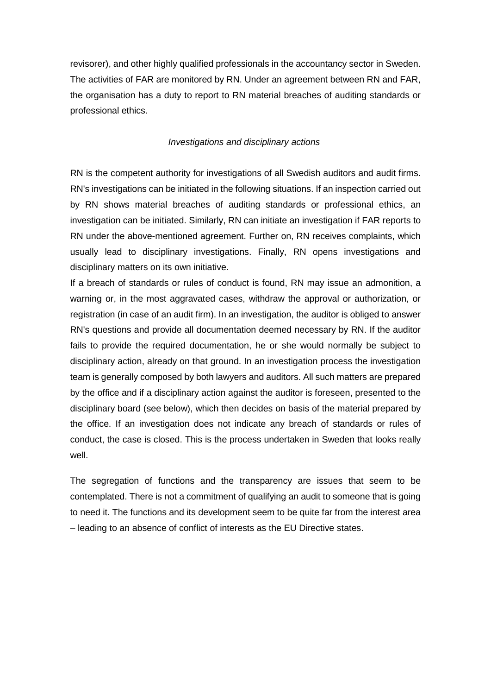revisorer), and other highly qualified professionals in the accountancy sector in Sweden. The activities of FAR are monitored by RN. Under an agreement between RN and FAR, the organisation has a duty to report to RN material breaches of auditing standards or professional ethics.

## *Investigations and disciplinary actions*

RN is the competent authority for investigations of all Swedish auditors and audit firms. RN's investigations can be initiated in the following situations. If an inspection carried out by RN shows material breaches of auditing standards or professional ethics, an investigation can be initiated. Similarly, RN can initiate an investigation if FAR reports to RN under the above-mentioned agreement. Further on, RN receives complaints, which usually lead to disciplinary investigations. Finally, RN opens investigations and disciplinary matters on its own initiative.

If a breach of standards or rules of conduct is found, RN may issue an admonition, a warning or, in the most aggravated cases, withdraw the approval or authorization, or registration (in case of an audit firm). In an investigation, the auditor is obliged to answer RN's questions and provide all documentation deemed necessary by RN. If the auditor fails to provide the required documentation, he or she would normally be subject to disciplinary action, already on that ground. In an investigation process the investigation team is generally composed by both lawyers and auditors. All such matters are prepared by the office and if a disciplinary action against the auditor is foreseen, presented to the disciplinary board (see below), which then decides on basis of the material prepared by the office. If an investigation does not indicate any breach of standards or rules of conduct, the case is closed. This is the process undertaken in Sweden that looks really well.

The segregation of functions and the transparency are issues that seem to be contemplated. There is not a commitment of qualifying an audit to someone that is going to need it. The functions and its development seem to be quite far from the interest area – leading to an absence of conflict of interests as the EU Directive states.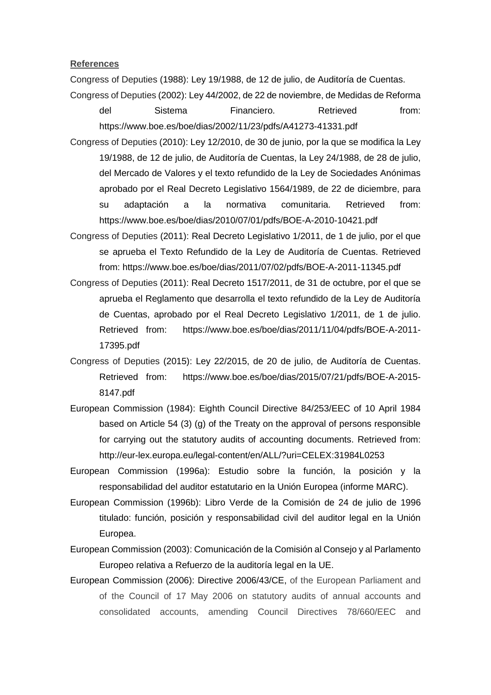**References**

Congress of Deputies (1988): Ley 19/1988, de 12 de julio, de Auditoría de Cuentas.

Congress of Deputies (2002): Ley 44/2002, de 22 de noviembre, de Medidas de Reforma del Sistema Financiero. Retrieved from: https://www.boe.es/boe/dias/2002/11/23/pdfs/A41273-41331.pdf

Congress of Deputies (2010): Ley 12/2010, de 30 de junio, por la que se modifica la Ley 19/1988, de 12 de julio, de Auditoría de Cuentas, la Ley 24/1988, de 28 de julio, del Mercado de Valores y el texto refundido de la Ley de Sociedades Anónimas aprobado por el Real Decreto Legislativo 1564/1989, de 22 de diciembre, para su adaptación a la normativa comunitaria. Retrieved from: https://www.boe.es/boe/dias/2010/07/01/pdfs/BOE-A-2010-10421.pdf

Congress of Deputies (2011): Real Decreto Legislativo 1/2011, de 1 de julio, por el que se aprueba el Texto Refundido de la Ley de Auditoría de Cuentas. Retrieved from: https://www.boe.es/boe/dias/2011/07/02/pdfs/BOE-A-2011-11345.pdf

- Congress of Deputies (2011): Real Decreto 1517/2011, de 31 de octubre, por el que se aprueba el Reglamento que desarrolla el texto refundido de la Ley de Auditoría de Cuentas, aprobado por el Real Decreto Legislativo 1/2011, de 1 de julio. Retrieved from: https://www.boe.es/boe/dias/2011/11/04/pdfs/BOE-A-2011- 17395.pdf
- Congress of Deputies (2015): Ley 22/2015, de 20 de julio, de Auditoría de Cuentas. Retrieved from: https://www.boe.es/boe/dias/2015/07/21/pdfs/BOE-A-2015- 8147.pdf
- European Commission (1984): Eighth Council Directive 84/253/EEC of 10 April 1984 based on Article 54 (3) (g) of the Treaty on the approval of persons responsible for carrying out the statutory audits of accounting documents. Retrieved from: http://eur-lex.europa.eu/legal-content/en/ALL/?uri=CELEX:31984L0253
- European Commission (1996a): Estudio sobre la función, la posición y la responsabilidad del auditor estatutario en la Unión Europea (informe MARC).
- European Commission (1996b): Libro Verde de la Comisión de 24 de julio de 1996 titulado: función, posición y responsabilidad civil del auditor legal en la Unión Europea.
- European Commission (2003): Comunicación de la Comisión al Consejo y al Parlamento Europeo relativa a Refuerzo de la auditoría legal en la UE.
- European Commission (2006): Directive 2006/43/CE, of the European Parliament and of the Council of 17 May 2006 on statutory audits of annual accounts and consolidated accounts, amending Council Directives 78/660/EEC and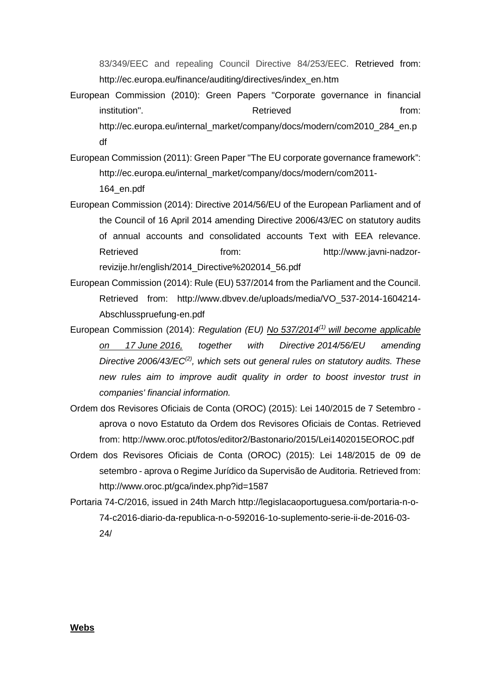83/349/EEC and repealing Council Directive 84/253/EEC. Retrieved from: [http://ec.europa.eu/finance/auditing/directives/index\\_en.htm](http://ec.europa.eu/finance/auditing/directives/index_en.htm)

- European Commission (2010): Green Papers "Corporate governance in financial institution". The contract of the contract of the Retrieved from: the from: http://ec.europa.eu/internal\_market/company/docs/modern/com2010\_284\_en.p df
- European Commission (2011): Green Paper "The EU corporate governance framework": http://ec.europa.eu/internal\_market/company/docs/modern/com2011- 164\_en.pdf
- European Commission (2014): Directive 2014/56/EU of the European Parliament and of the Council of 16 April 2014 amending Directive 2006/43/EC on statutory audits of annual accounts and consolidated accounts Text with EEA relevance. Retrieved **from:** http://www.javni-nadzorrevizije.hr/english/2014\_Directive%202014\_56.pdf
- European Commission (2014): Rule (EU) 537/2014 from the Parliament and the Council. Retrieved from: http://www.dbvev.de/uploads/media/VO\_537-2014-1604214- Abschlusspruefung-en.pdf
- European Commission (2014): *Regulation (EU) No 537/201[4\(1\)](http://www.europarl.europa.eu/sides/getAllAnswers.do?reference=E-2015-015970&language=EN#def1) will become applicable on 17 June 2016, together with Directive 2014/56/EU amending Directive 2006/43/E[C\(2\),](http://www.europarl.europa.eu/sides/getAllAnswers.do?reference=E-2015-015970&language=EN#def2) which sets out general rules on statutory audits. These new rules aim to improve audit quality in order to boost investor trust in companies' financial information.*
- Ordem dos Revisores Oficiais de Conta (OROC) (2015): Lei 140/2015 de 7 Setembro [aprova o novo Estatuto da Ordem dos Revisores Oficiais de Contas.](http://www.oroc.pt/gca/index.php?id=1587) Retrieved from: http://www.oroc.pt/fotos/editor2/Bastonario/2015/Lei1402015EOROC.pdf
- Ordem dos Revisores Oficiais de Conta (OROC) (2015): Lei 148/2015 [de 09 de](http://www.oroc.pt/gca/index.php?id=1587)  setembro - [aprova o Regime Jurídico da Supervisão de Auditoria.](http://www.oroc.pt/gca/index.php?id=1587) Retrieved from: http://www.oroc.pt/gca/index.php?id=1587
- Portaria 74-C/2016, issued in 24th March http://legislacaoportuguesa.com/portaria-n-o-74-c2016-diario-da-republica-n-o-592016-1o-suplemento-serie-ii-de-2016-03- 24/

**Webs**